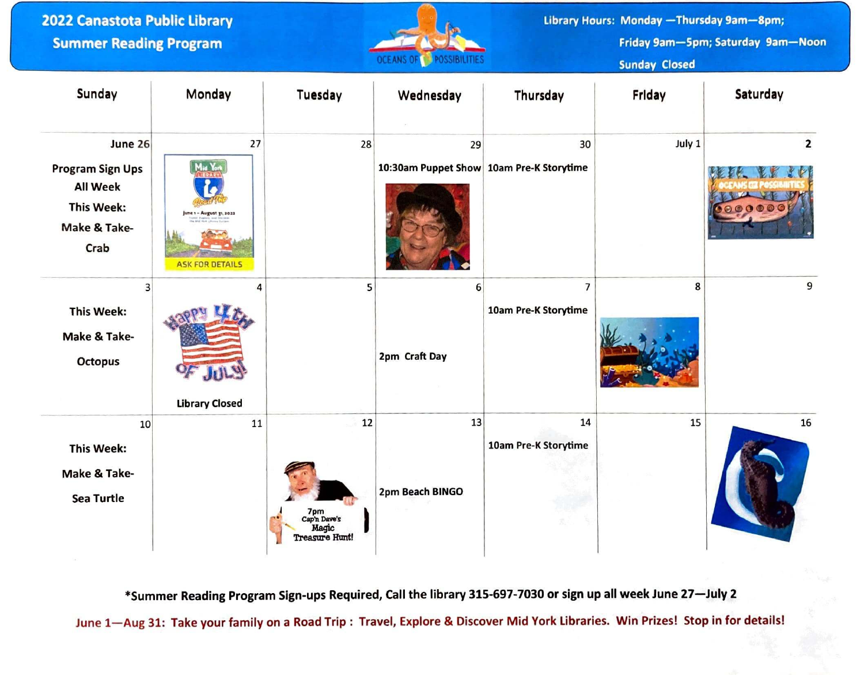| 2022 Canastota Public Library<br><b>Summer Reading Program</b>                                     |                                                                    |                                                      | <b>POSSIBILITIES</b><br><b>OCEANS OF</b>       |                                        | Library Hours: Monday - Thursday 9am-8pm;<br>Friday 9am-5pm; Saturday 9am-Noon<br><b>Sunday Closed</b> |                                                     |
|----------------------------------------------------------------------------------------------------|--------------------------------------------------------------------|------------------------------------------------------|------------------------------------------------|----------------------------------------|--------------------------------------------------------------------------------------------------------|-----------------------------------------------------|
| Sunday                                                                                             | Monday                                                             | Tuesday                                              | Wednesday                                      | Thursday                               | Friday                                                                                                 | Saturday                                            |
| June 26<br><b>Program Sign Ups</b><br><b>All Week</b><br><b>This Week:</b><br>Make & Take-<br>Crab | 27<br>Mid Yor<br>June 1 - August 21, 202<br><b>ASK FOR DETAILS</b> | 28                                                   | 29<br>10:30am Puppet Show 10am Pre-K Storytime | 30                                     | July 1                                                                                                 | $\mathbf{2}$<br>$\Theta$ $\bf{0}$ $\bf{0}$ $\bf{0}$ |
| 3<br><b>This Week:</b><br>Make & Take-<br>Octopus                                                  | 4<br><b>Library Closed</b>                                         | 5                                                    | 6<br>2pm Craft Day                             | $\overline{7}$<br>10am Pre-K Storytime | 8                                                                                                      | 9                                                   |
| 10<br><b>This Week:</b><br>Make & Take-<br><b>Sea Turtle</b>                                       | 11                                                                 | 12<br>7pm<br>Cap'n Dave's<br>Magic<br>Treasure Hunt! | 13<br>2pm Beach BINGO                          | 14<br>10am Pre-K Storytime             | 15                                                                                                     | 16                                                  |

\*Summer Reading Program Sign-ups Required, Call the library 315-697-7030 or sign up all week June 27-July 2

June 1- Aug 31: Take your family on a Road Trip : Travel, Explore & Discover Mid York Libraries. Win Prizes! Stop in for details!